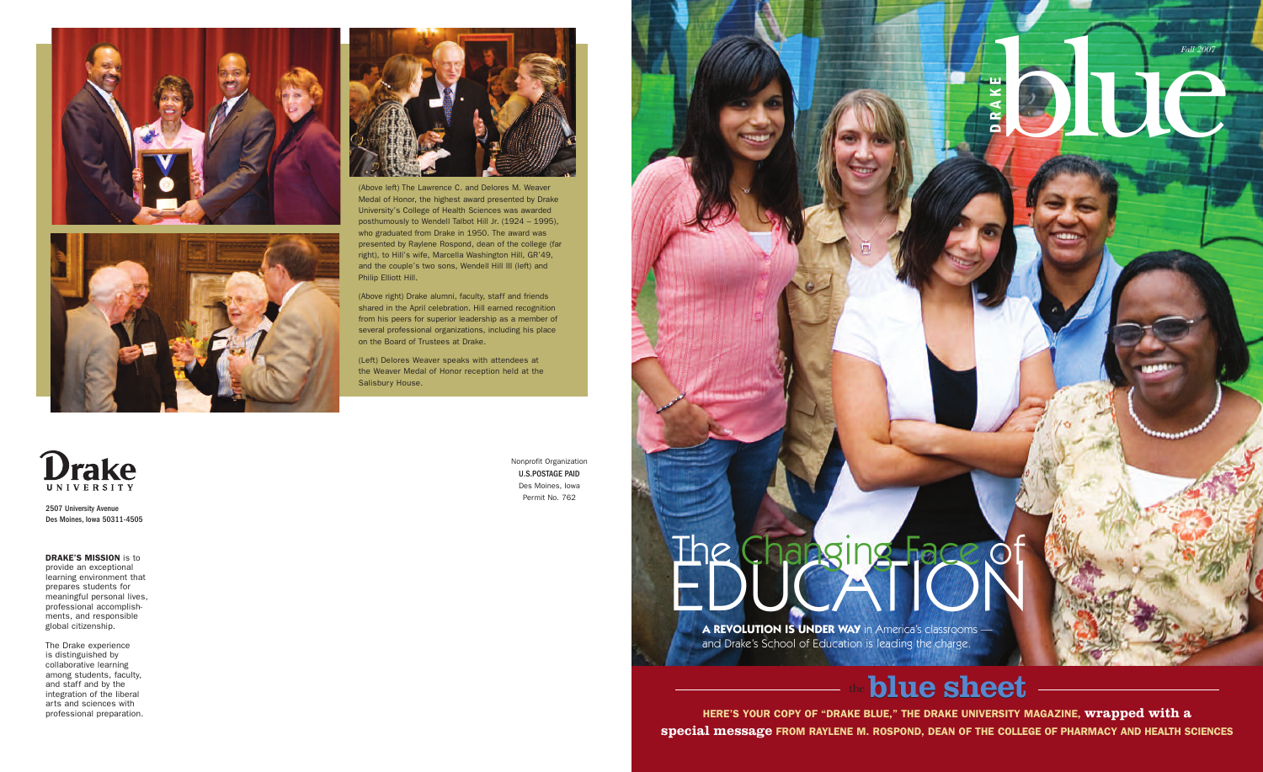

Blue Co



**B**

## blue sheet

**DRA** 

**HERE'S YOUR COPY OF "DRAKE BLUE," THE DRAKE UNIVERSITY MAGAZINE, wrapped with a special message FROM RAYLENE M. ROSPOND, DEAN OF THE COLLEGE OF PHARMACY AND HEALTH SCIENCES**

#### **DRAKE'S MISSION** is to

provide an exceptional learning environment that prepares students for meaningful personal lives, professional accomplishments, and responsible global citizenship.

The Drake experience is distinguished by collaborative learning among students, faculty, and staff and by the integration of the liberal arts and sciences with professional preparation.

2507 University Avenue Des Moines, Iowa 50311-4505 Nonprofit Organization U.S.POSTAGE PAID Des Moines, Iowa Permit No. 762





(Above left) The Lawrence C. and Delores M. Weaver Medal of Honor, the highest award presented by Drake University's College of Health Sciences was awarded posthumously to Wendell Talbot Hill Jr. (1924 – 1995), who graduated from Drake in 1950. The award was presented by Raylene Rospond, dean of the college (far right), to Hill's wife, Marcella Washington Hill, GR'49, and the couple's two sons, Wendell Hill III (left) and Philip Elliott Hill.

(Above right) Drake alumni, faculty, staff and friends shared in the April celebration. Hill earned recognition from his peers for superior leadership as a member of several professional organizations, including his place on the Board of Trustees at Drake.

(Left) Delores Weaver speaks with attendees at the Weaver Medal of Honor reception held at the Salisbury House.